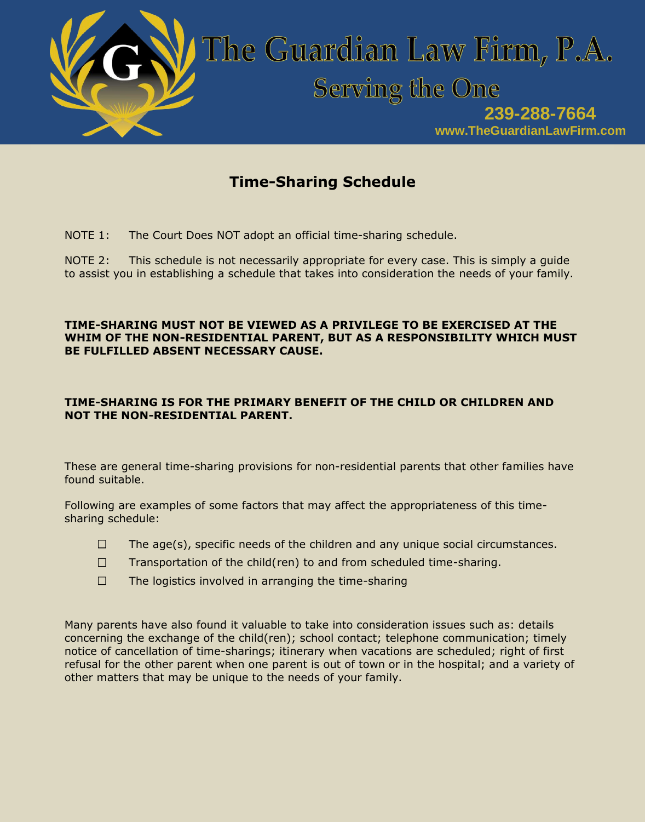

# **Time-Sharing Schedule**

NOTE 1: The Court Does NOT adopt an official time-sharing schedule.

NOTE 2: This schedule is not necessarily appropriate for every case. This is simply a guide to assist you in establishing a schedule that takes into consideration the needs of your family.

### **TIME-SHARING MUST NOT BE VIEWED AS A PRIVILEGE TO BE EXERCISED AT THE WHIM OF THE NON-RESIDENTIAL PARENT, BUT AS A RESPONSIBILITY WHICH MUST BE FULFILLED ABSENT NECESSARY CAUSE.**

### **TIME-SHARING IS FOR THE PRIMARY BENEFIT OF THE CHILD OR CHILDREN AND NOT THE NON-RESIDENTIAL PARENT.**

These are general time-sharing provisions for non-residential parents that other families have found suitable.

Following are examples of some factors that may affect the appropriateness of this timesharing schedule:

- The age(s), specific needs of the children and any unique social circumstances.  $\Box$
- $\Box$ Transportation of the child(ren) to and from scheduled time-sharing.
- $\Box$ The logistics involved in arranging the time-sharing

Many parents have also found it valuable to take into consideration issues such as: details concerning the exchange of the child(ren); school contact; telephone communication; timely notice of cancellation of time-sharings; itinerary when vacations are scheduled; right of first refusal for the other parent when one parent is out of town or in the hospital; and a variety of other matters that may be unique to the needs of your family.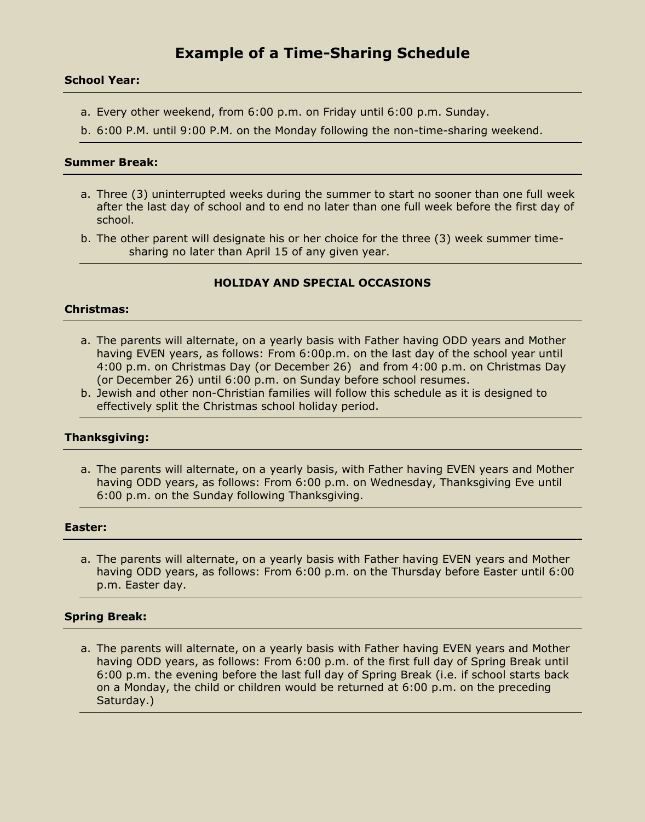## **Example of a Time-Sharing Schedule**

#### **School Year:**

- a. Every other weekend, from 6:00 p.m. on Friday until 6:00 p.m. Sunday.
- b. 6:00 P.M. until 9:00 P.M. on the Monday following the non-time-sharing weekend.

### **Summer Break:**

- a. Three (3) uninterrupted weeks during the summer to start no sooner than one full week after the last day of school and to end no later than one full week before the first day of school.
- b. The other parent will designate his or her choice for the three (3) week summer timesharing no later than April 15 of any given year.

### **HOLIDAY AND SPECIAL OCCASIONS**

#### **Christmas:**

- a. The parents will alternate, on a yearly basis with Father having ODD years and Mother having EVEN years, as follows: From 6:00p.m. on the last day of the school year until 4:00 p.m. on Christmas Day (or December 26) and from 4:00 p.m. on Christmas Day (or December 26) until 6:00 p.m. on Sunday before school resumes.
- b. Jewish and other non-Christian families will follow this schedule as it is designed to effectively split the Christmas school holiday period.

#### **Thanksgiving:**

a. The parents will alternate, on a yearly basis, with Father having EVEN years and Mother having ODD years, as follows: From 6:00 p.m. on Wednesday, Thanksgiving Eve until 6:00 p.m. on the Sunday following Thanksgiving.

#### **Easter:**

a. The parents will alternate, on a yearly basis with Father having EVEN years and Mother having ODD years, as follows: From 6:00 p.m. on the Thursday before Easter until 6:00 p.m. Easter day.

#### **Spring Break:**

a. The parents will alternate, on a yearly basis with Father having EVEN years and Mother having ODD years, as follows: From 6:00 p.m. of the first full day of Spring Break until 6:00 p.m. the evening before the last full day of Spring Break (i.e. if school starts back on a Monday, the child or children would be returned at 6:00 p.m. on the preceding Saturday.)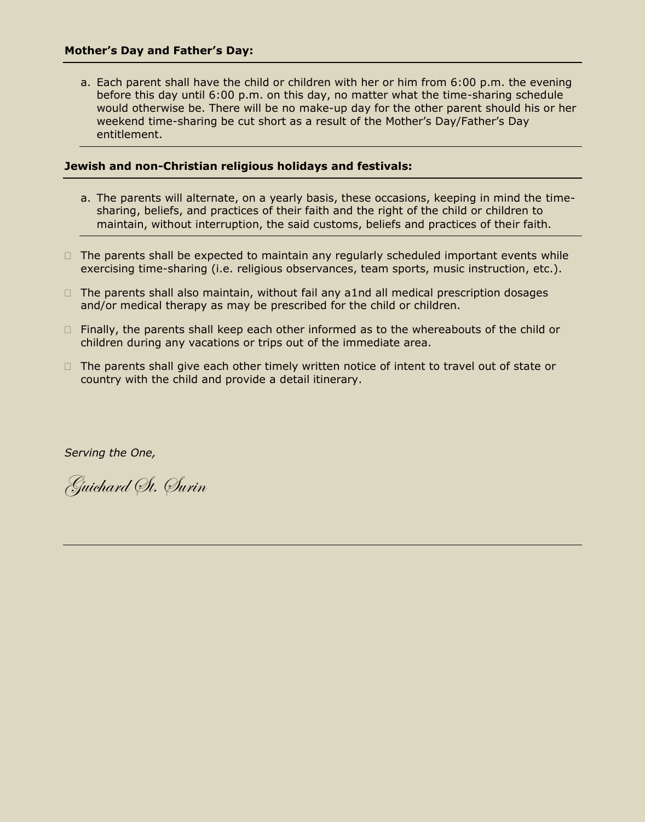a. Each parent shall have the child or children with her or him from 6:00 p.m. the evening before this day until 6:00 p.m. on this day, no matter what the time-sharing schedule would otherwise be. There will be no make-up day for the other parent should his or her weekend time-sharing be cut short as a result of the Mother's Day/Father's Day entitlement.

#### **Jewish and non-Christian religious holidays and festivals:**

- a. The parents will alternate, on a yearly basis, these occasions, keeping in mind the timesharing, beliefs, and practices of their faith and the right of the child or children to maintain, without interruption, the said customs, beliefs and practices of their faith.
- $\Box$  The parents shall be expected to maintain any regularly scheduled important events while exercising time-sharing (i.e. religious observances, team sports, music instruction, etc.).
- $\Box$  The parents shall also maintain, without fail any a1nd all medical prescription dosages and/or medical therapy as may be prescribed for the child or children.
- $\Box$  Finally, the parents shall keep each other informed as to the whereabouts of the child or children during any vacations or trips out of the immediate area.
- $\Box$  The parents shall give each other timely written notice of intent to travel out of state or country with the child and provide a detail itinerary.

*Serving the One,*

Guichard St. Surin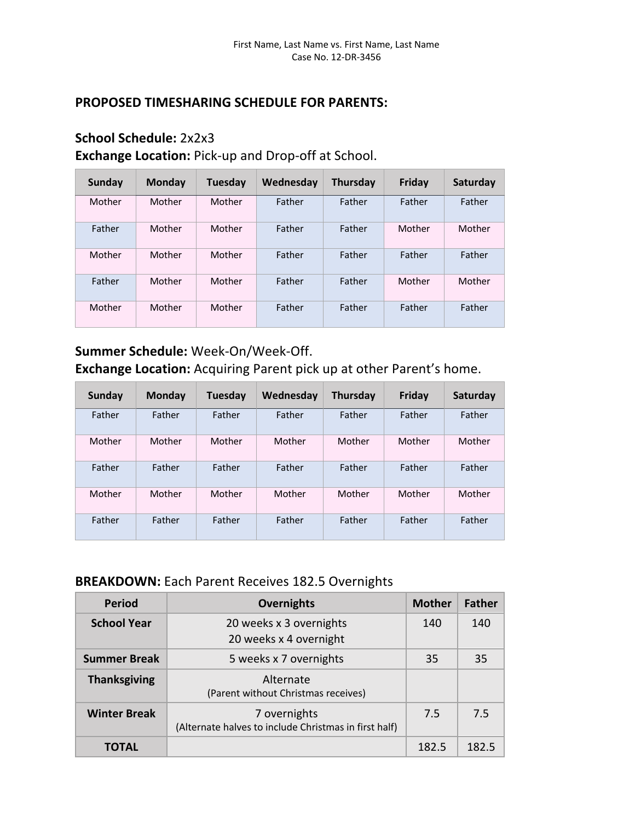### **PROPOSED TIMESHARING SCHEDULE FOR PARENTS:**

### **School Schedule:** 2x2x3

**Exchange Location:** Pick-up and Drop-off at School.

| Sunday | <b>Monday</b> | Tuesday | Wednesday | <b>Thursday</b> | <b>Friday</b> | Saturday |
|--------|---------------|---------|-----------|-----------------|---------------|----------|
| Mother | Mother        | Mother  | Father    | Father          | Father        | Father   |
| Father | Mother        | Mother  | Father    | Father          | Mother        | Mother   |
| Mother | Mother        | Mother  | Father    | Father          | Father        | Father   |
| Father | Mother        | Mother  | Father    | Father          | Mother        | Mother   |
| Mother | Mother        | Mother  | Father    | Father          | Father        | Father   |

**Summer Schedule:** Week-On/Week-Off.

**Exchange Location:** Acquiring Parent pick up at other Parent's home.

| Sunday | <b>Monday</b> | <b>Tuesday</b> | Wednesday | Thursday | Friday | Saturday |
|--------|---------------|----------------|-----------|----------|--------|----------|
| Father | Father        | Father         | Father    | Father   | Father | Father   |
| Mother | Mother        | Mother         | Mother    | Mother   | Mother | Mother   |
| Father | Father        | Father         | Father    | Father   | Father | Father   |
| Mother | Mother        | Mother         | Mother    | Mother   | Mother | Mother   |
| Father | Father        | Father         | Father    | Father   | Father | Father   |

### **BREAKDOWN:** Each Parent Receives 182.5 Overnights

| <b>Period</b>       | <b>Overnights</b>                                                     | <b>Mother</b> | <b>Father</b> |
|---------------------|-----------------------------------------------------------------------|---------------|---------------|
| <b>School Year</b>  | 20 weeks x 3 overnights<br>20 weeks x 4 overnight                     | 140           | 140           |
| <b>Summer Break</b> | 5 weeks x 7 overnights                                                | 35            | 35            |
| <b>Thanksgiving</b> | Alternate<br>(Parent without Christmas receives)                      |               |               |
| <b>Winter Break</b> | 7 overnights<br>(Alternate halves to include Christmas in first half) | 7.5           | 7.5           |
| TOTAL               |                                                                       | 182.5         | 182.5         |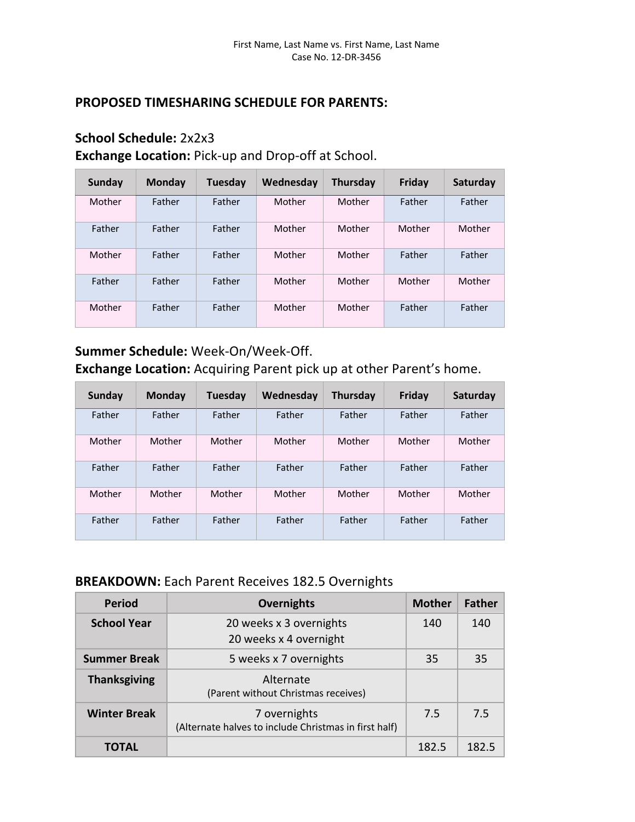### **PROPOSED TIMESHARING SCHEDULE FOR PARENTS:**

### **School Schedule:** 2x2x3

**Exchange Location:** Pick-up and Drop-off at School.

| Sunday | <b>Monday</b> | <b>Tuesday</b> | Wednesday | <b>Thursday</b> | <b>Friday</b> | Saturday |
|--------|---------------|----------------|-----------|-----------------|---------------|----------|
| Mother | Father        | Father         | Mother    | Mother          | Father        | Father   |
| Father | Father        | Father         | Mother    | Mother          | Mother        | Mother   |
| Mother | Father        | Father         | Mother    | Mother          | Father        | Father   |
| Father | Father        | Father         | Mother    | Mother          | Mother        | Mother   |
| Mother | Father        | Father         | Mother    | Mother          | Father        | Father   |

**Summer Schedule:** Week-On/Week-Off.

**Exchange Location:** Acquiring Parent pick up at other Parent's home.

| Sunday | <b>Monday</b> | <b>Tuesday</b> | Wednesday | Thursday | Friday | Saturday |
|--------|---------------|----------------|-----------|----------|--------|----------|
| Father | Father        | Father         | Father    | Father   | Father | Father   |
| Mother | Mother        | Mother         | Mother    | Mother   | Mother | Mother   |
| Father | Father        | Father         | Father    | Father   | Father | Father   |
| Mother | Mother        | Mother         | Mother    | Mother   | Mother | Mother   |
| Father | Father        | Father         | Father    | Father   | Father | Father   |

### **BREAKDOWN:** Each Parent Receives 182.5 Overnights

| <b>Period</b>       | <b>Overnights</b>                                                     | <b>Mother</b> | <b>Father</b> |
|---------------------|-----------------------------------------------------------------------|---------------|---------------|
| <b>School Year</b>  | 20 weeks x 3 overnights<br>20 weeks x 4 overnight                     | 140           | 140           |
| <b>Summer Break</b> | 5 weeks x 7 overnights                                                | 35            | 35            |
| <b>Thanksgiving</b> | Alternate<br>(Parent without Christmas receives)                      |               |               |
| <b>Winter Break</b> | 7 overnights<br>(Alternate halves to include Christmas in first half) | 7.5           | 7.5           |
| TOTAL               |                                                                       | 182.5         | 182.5         |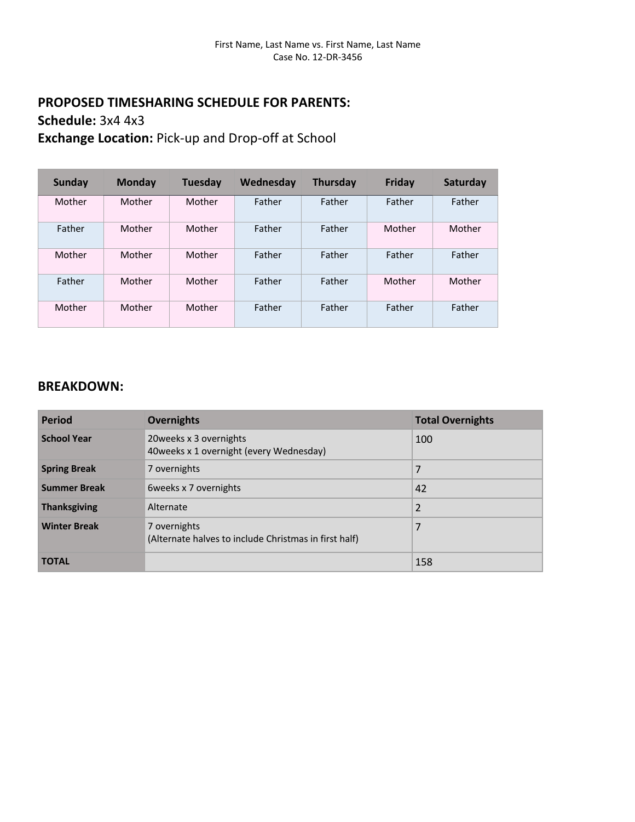### **PROPOSED TIMESHARING SCHEDULE FOR PARENTS: Schedule:** 3x4 4x3 **Exchange Location:** Pick-up and Drop-off at School

**Sunday Monday Tuesday Wednesday Thursday Friday Saturday** Mother Mother Mother Father Father Father Father Father | Mother | Mother | Father | Tather | Mother | Mother Mother Mother Mother Father Father Father Father Father | Mother | Mother | Father | Tather | Mother | Mother Mother Mother Mother Father Father Father Father

| <b>Period</b>       | <b>Overnights</b>                                                     | <b>Total Overnights</b> |
|---------------------|-----------------------------------------------------------------------|-------------------------|
| <b>School Year</b>  | 20 weeks x 3 overnights<br>40weeks x 1 overnight (every Wednesday)    | 100                     |
| <b>Spring Break</b> | 7 overnights                                                          | 7                       |
| <b>Summer Break</b> | 6 weeks x 7 overnights                                                | 42                      |
| <b>Thanksgiving</b> | Alternate                                                             | $\overline{2}$          |
| <b>Winter Break</b> | 7 overnights<br>(Alternate halves to include Christmas in first half) | 7                       |
| <b>TOTAL</b>        |                                                                       | 158                     |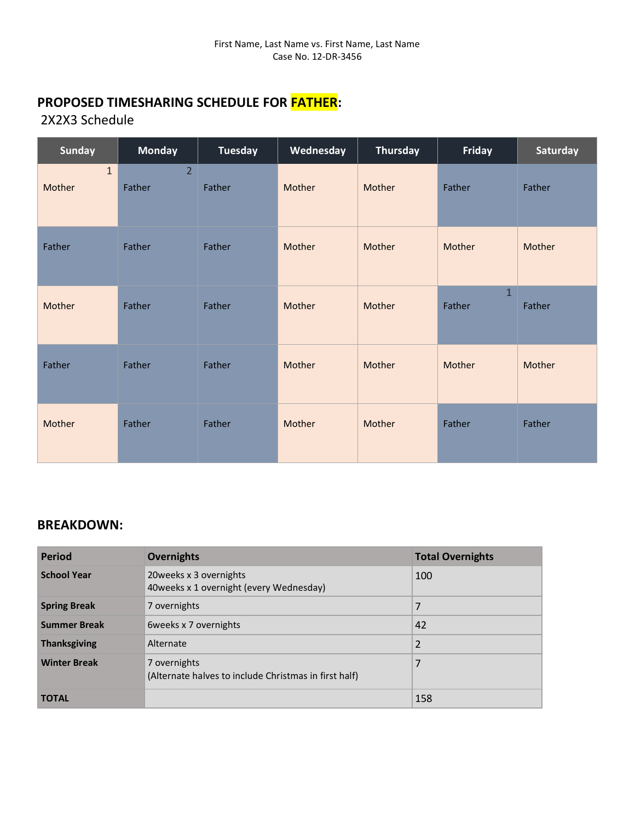### 2X2X3 Schedule

| <b>Sunday</b>          | <b>Monday</b>            | <b>Tuesday</b> | Wednesday | Thursday | Friday                 | Saturday |
|------------------------|--------------------------|----------------|-----------|----------|------------------------|----------|
| $\mathbf{1}$<br>Mother | $\overline{2}$<br>Father | Father         | Mother    | Mother   | Father                 | Father   |
| Father                 | Father                   | Father         | Mother    | Mother   | Mother                 | Mother   |
| Mother                 | Father                   | Father         | Mother    | Mother   | $\mathbf{1}$<br>Father | Father   |
| Father                 | Father                   | Father         | Mother    | Mother   | Mother                 | Mother   |
| Mother                 | Father                   | Father         | Mother    | Mother   | Father                 | Father   |

| <b>Period</b>       | <b>Overnights</b>                                                     | <b>Total Overnights</b> |
|---------------------|-----------------------------------------------------------------------|-------------------------|
| <b>School Year</b>  | 20 weeks x 3 overnights<br>40 weeks x 1 overnight (every Wednesday)   | 100                     |
| <b>Spring Break</b> | 7 overnights                                                          | 7                       |
| <b>Summer Break</b> | 6 weeks x 7 overnights                                                | 42                      |
| <b>Thanksgiving</b> | Alternate                                                             | $\overline{2}$          |
| <b>Winter Break</b> | 7 overnights<br>(Alternate halves to include Christmas in first half) | 7                       |
| <b>TOTAL</b>        |                                                                       | 158                     |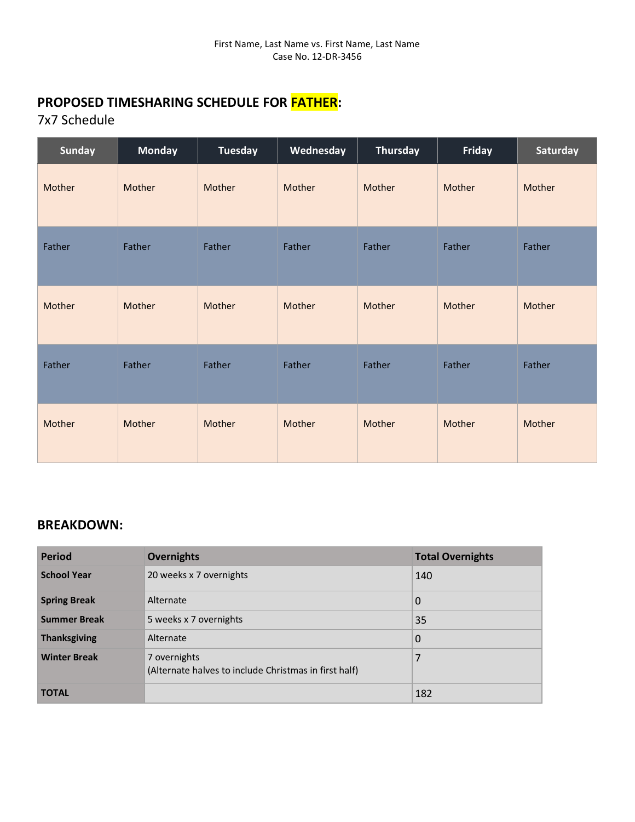7x7 Schedule

| <b>Sunday</b> | <b>Monday</b> | <b>Tuesday</b> | Wednesday | <b>Thursday</b> | Friday | Saturday |
|---------------|---------------|----------------|-----------|-----------------|--------|----------|
| Mother        | Mother        | Mother         | Mother    | Mother          | Mother | Mother   |
| Father        | Father        | Father         | Father    | Father          | Father | Father   |
| Mother        | Mother        | Mother         | Mother    | Mother          | Mother | Mother   |
| Father        | Father        | Father         | Father    | Father          | Father | Father   |
| Mother        | Mother        | Mother         | Mother    | Mother          | Mother | Mother   |

| <b>Period</b>       | <b>Overnights</b>                                                     | <b>Total Overnights</b> |
|---------------------|-----------------------------------------------------------------------|-------------------------|
| <b>School Year</b>  | 20 weeks x 7 overnights                                               | 140                     |
| <b>Spring Break</b> | Alternate                                                             | 0                       |
| <b>Summer Break</b> | 5 weeks x 7 overnights                                                | 35                      |
| <b>Thanksgiving</b> | Alternate                                                             | 0                       |
| <b>Winter Break</b> | 7 overnights<br>(Alternate halves to include Christmas in first half) | 7                       |
| <b>TOTAL</b>        |                                                                       | 182                     |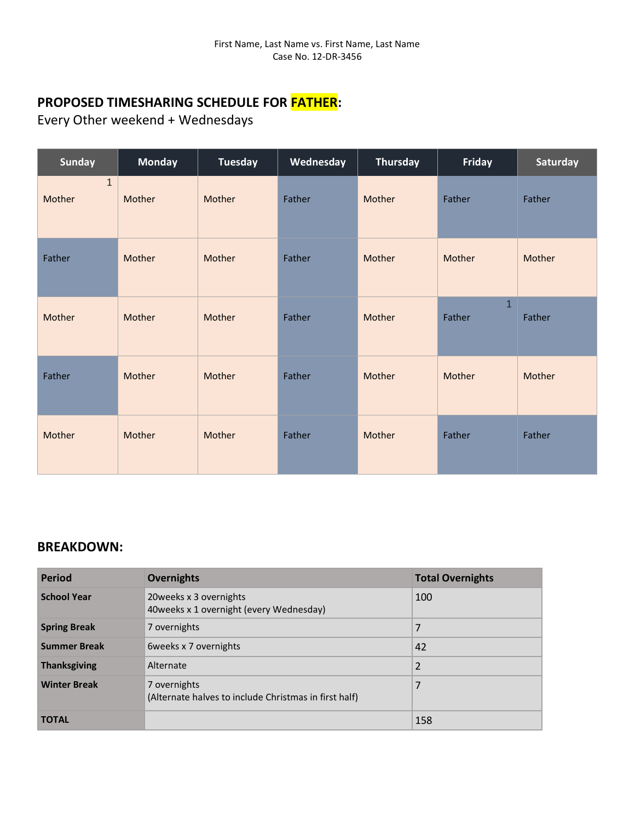Every Other weekend + Wednesdays

| <b>Sunday</b>          | <b>Monday</b> | <b>Tuesday</b> | Wednesday | <b>Thursday</b> | <b>Friday</b>          | Saturday |
|------------------------|---------------|----------------|-----------|-----------------|------------------------|----------|
| $\mathbf{1}$<br>Mother | Mother        | Mother         | Father    | Mother          | Father                 | Father   |
| Father                 | Mother        | Mother         | Father    | Mother          | Mother                 | Mother   |
| Mother                 | Mother        | Mother         | Father    | Mother          | $\mathbf{1}$<br>Father | Father   |
| Father                 | Mother        | Mother         | Father    | Mother          | Mother                 | Mother   |
| Mother                 | Mother        | Mother         | Father    | Mother          | Father                 | Father   |

| <b>Period</b>       | <b>Overnights</b>                                                     | <b>Total Overnights</b> |
|---------------------|-----------------------------------------------------------------------|-------------------------|
| <b>School Year</b>  | 20 weeks x 3 overnights<br>40 weeks x 1 overnight (every Wednesday)   | 100                     |
| <b>Spring Break</b> | 7 overnights                                                          | 7                       |
| <b>Summer Break</b> | 6 weeks x 7 overnights                                                | 42                      |
| <b>Thanksgiving</b> | Alternate                                                             | $\overline{2}$          |
| <b>Winter Break</b> | 7 overnights<br>(Alternate halves to include Christmas in first half) | 7                       |
| <b>TOTAL</b>        |                                                                       | 158                     |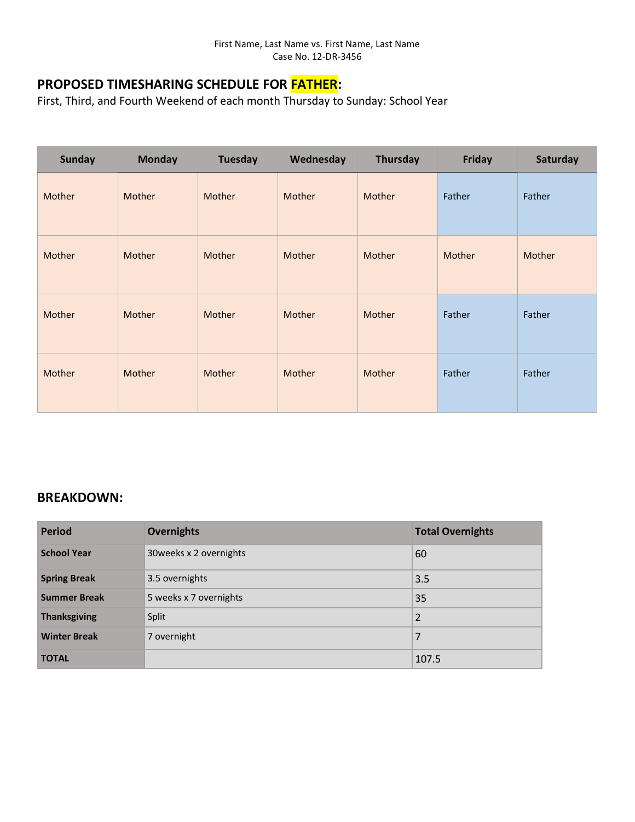First, Third, and Fourth Weekend of each month Thursday to Sunday: School Year

| <b>Sunday</b> | <b>Monday</b> | <b>Tuesday</b> | Wednesday | Thursday | Friday | Saturday |
|---------------|---------------|----------------|-----------|----------|--------|----------|
| Mother        | Mother        | Mother         | Mother    | Mother   | Father | Father   |
| Mother        | Mother        | Mother         | Mother    | Mother   | Mother | Mother   |
| Mother        | Mother        | Mother         | Mother    | Mother   | Father | Father   |
| Mother        | Mother        | Mother         | Mother    | Mother   | Father | Father   |

| <b>Period</b>       | <b>Overnights</b>       | <b>Total Overnights</b> |
|---------------------|-------------------------|-------------------------|
| <b>School Year</b>  | 30 weeks x 2 overnights | 60                      |
| <b>Spring Break</b> | 3.5 overnights          | 3.5                     |
| <b>Summer Break</b> | 5 weeks x 7 overnights  | 35                      |
| <b>Thanksgiving</b> | Split                   | $\overline{2}$          |
| <b>Winter Break</b> | 7 overnight             | 7                       |
| <b>TOTAL</b>        |                         | 107.5                   |